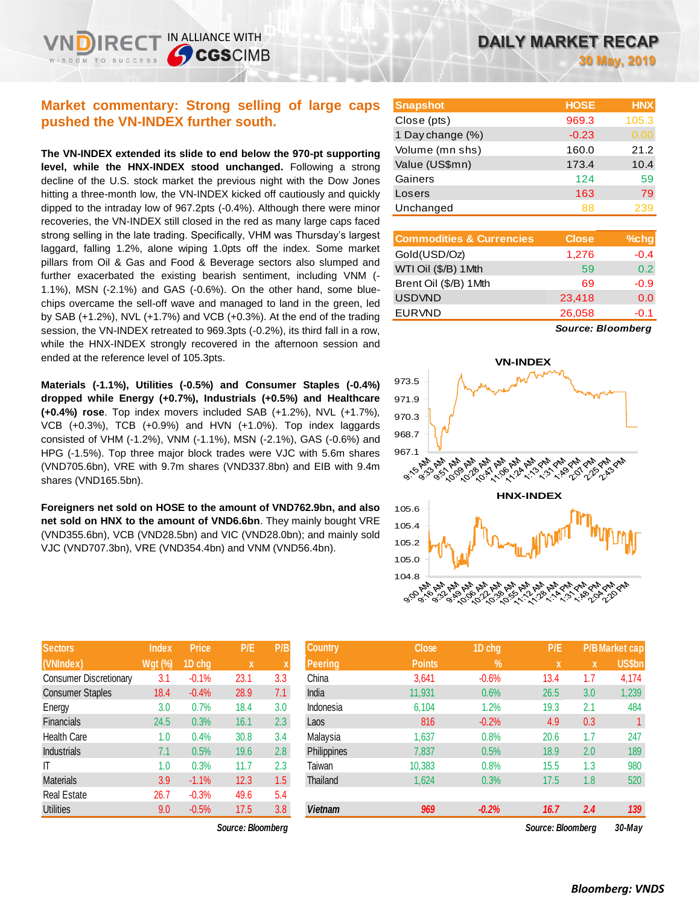IN ALLIANCE WITH

**CGSCIMB** 

**The VN-INDEX extended its slide to end below the 970-pt supporting level, while the HNX-INDEX stood unchanged.** Following a strong decline of the U.S. stock market the previous night with the Dow Jones hitting a three-month low, the VN-INDEX kicked off cautiously and quickly dipped to the intraday low of 967.2pts (-0.4%). Although there were minor recoveries, the VN-INDEX still closed in the red as many large caps faced strong selling in the late trading. Specifically, VHM was Thursday's largest laggard, falling 1.2%, alone wiping 1.0pts off the index. Some market pillars from Oil & Gas and Food & Beverage sectors also slumped and further exacerbated the existing bearish sentiment, including VNM (- 1.1%), MSN (-2.1%) and GAS (-0.6%). On the other hand, some bluechips overcame the sell-off wave and managed to land in the green, led by SAB (+1.2%), NVL (+1.7%) and VCB (+0.3%). At the end of the trading session, the VN-INDEX retreated to 969.3pts (-0.2%), its third fall in a row, while the HNX-INDEX strongly recovered in the afternoon session and ended at the reference level of 105.3pts.

**Materials (-1.1%), Utilities (-0.5%) and Consumer Staples (-0.4%) dropped while Energy (+0.7%), Industrials (+0.5%) and Healthcare (+0.4%) rose**. Top index movers included SAB (+1.2%), NVL (+1.7%), VCB (+0.3%), TCB (+0.9%) and HVN (+1.0%). Top index laggards consisted of VHM (-1.2%), VNM (-1.1%), MSN (-2.1%), GAS (-0.6%) and HPG (-1.5%). Top three major block trades were VJC with 5.6m shares (VND705.6bn), VRE with 9.7m shares (VND337.8bn) and EIB with 9.4m shares (VND165.5bn).

**Foreigners net sold on HOSE to the amount of VND762.9bn, and also net sold on HNX to the amount of VND6.6bn**. They mainly bought VRE (VND355.6bn), VCB (VND28.5bn) and VIC (VND28.0bn); and mainly sold VJC (VND707.3bn), VRE (VND354.4bn) and VNM (VND56.4bn).

| <b>Sectors</b>                | <b>Index</b>   | <b>Price</b> | P/E  | P/B |
|-------------------------------|----------------|--------------|------|-----|
| (VNIndex)                     | <b>Wgt (%)</b> | 1D chg       | X    | X   |
| <b>Consumer Discretionary</b> | 3.1            | $-0.1%$      | 23.1 | 3.3 |
| <b>Consumer Staples</b>       | 18.4           | $-0.4%$      | 28.9 | 7.1 |
| Energy                        | 3.0            | 0.7%         | 18.4 | 3.0 |
| <b>Financials</b>             | 24.5           | 0.3%         | 16.1 | 2.3 |
| <b>Health Care</b>            | 1.0            | 0.4%         | 30.8 | 3.4 |
| <b>Industrials</b>            | 7.1            | 0.5%         | 19.6 | 2.8 |
| ΙT                            | 1.0            | 0.3%         | 11.7 | 2.3 |
| <b>Materials</b>              | 3.9            | $-1.1%$      | 12.3 | 1.5 |
| <b>Real Estate</b>            | 26.7           | $-0.3%$      | 49.6 | 5.4 |
| <b>Utilities</b>              | 9.0            | $-0.5%$      | 17.5 | 3.8 |

*Source: Bloomberg Source: Bloomberg 30-May*

| <b>Snapshot</b>  | <b>HOSE</b> | <b>HNX</b> |
|------------------|-------------|------------|
| Close (pts)      | 969.3       | 105.3      |
| 1 Day change (%) | $-0.23$     | 0.00       |
| Volume (mn shs)  | 160.0       | 21.2       |
| Value (US\$mn)   | 173.4       | 10.4       |
| Gainers          | 124         | 59         |
| Losers           | 163         | 79         |
| Unchanged        | 88          | 239        |
|                  |             |            |

| <b>Commodities &amp; Currencies</b> | <b>Close</b> | $%$ chg |
|-------------------------------------|--------------|---------|
| Gold(USD/Oz)                        | 1,276        | $-0.4$  |
| WTI Oil (\$/B) 1 Mth                | 59           | 0.2     |
| Brent Oil (\$/B) 1Mth               | 69           | $-0.9$  |
| <b>USDVND</b>                       | 23,418       | 0.0     |
| <b>EURVND</b>                       | 26,058       | -0.1    |
|                                     |              |         |

*Source: Bloomberg*



| <b>Sectors</b>          | <b>Index</b>   | <b>Price</b> | P/E               | P/B | <b>Country</b> | <b>Close</b>  | 1D chg     | P/E               |              | <b>P/B Market cap</b> |
|-------------------------|----------------|--------------|-------------------|-----|----------------|---------------|------------|-------------------|--------------|-----------------------|
| (VNIndex)               | <b>Wgt (%)</b> | 1D chg       | $\mathbf x$       | ⋏   | Peering        | <b>Points</b> | $\sqrt{2}$ | $\mathbf{x}$      | $\mathbf{x}$ | US\$bn                |
| Consumer Discretionary  | 3.1            | $-0.1%$      | 23.1              | 3.3 | China          | 3,641         | $-0.6%$    | 13.4              | 1.7          | 4,174                 |
| <b>Consumer Staples</b> | 18.4           | $-0.4%$      | 28.9              | 7.1 | India          | 11,931        | 0.6%       | 26.5              | 3.0          | 1,239                 |
| Energy                  | 3.0            | 0.7%         | 18.4              | 3.0 | Indonesia      | 6,104         | 1.2%       | 19.3              | 2.1          | 484                   |
| Financials              | 24.5           | 0.3%         | 16.1              | 2.3 | Laos           | 816           | $-0.2%$    | 4.9               | 0.3          |                       |
| Health Care             | 1.0            | 0.4%         | 30.8              | 3.4 | Malaysia       | 1,637         | 0.8%       | 20.6              | 1.7          | 247                   |
| Industrials             | 7.1            | 0.5%         | 19.6              | 2.8 | Philippines    | 7,837         | 0.5%       | 18.9              | 2.0          | 189                   |
|                         | 1.0            | 0.3%         | 11.7              | 2.3 | Taiwan         | 10,383        | 0.8%       | 15.5              | 1.3          | 980                   |
| Materials               | 3.9            | $-1.1%$      | 12.3              | 1.5 | Thailand       | 1,624         | 0.3%       | 17.5              | 1.8          | 520                   |
| Real Estate             | 26.7           | $-0.3%$      | 49.6              | 5.4 |                |               |            |                   |              |                       |
| <b>Utilities</b>        | 9.0            | $-0.5%$      | 17.5              | 3.8 | <b>Vietnam</b> | 969           | $-0.2%$    | 16.7              | 2.4          | 139                   |
|                         |                |              | Source: Bloomberg |     |                |               |            | Source: Bloomberg |              | $30-Mav$              |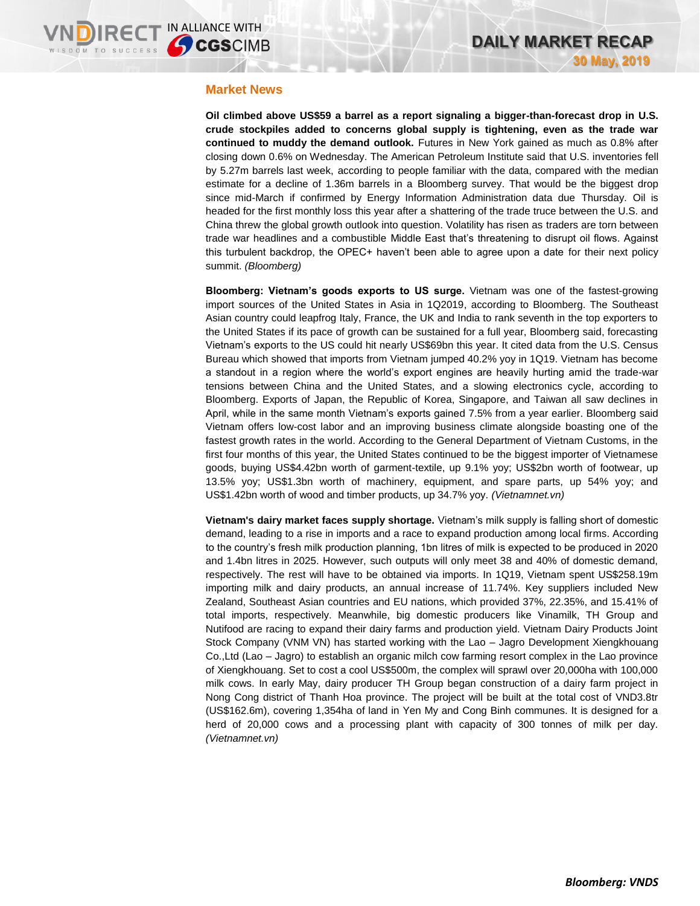### **Market News**

**Oil climbed above US\$59 a barrel as a report signaling a bigger-than-forecast drop in U.S. crude stockpiles added to concerns global supply is tightening, even as the trade war continued to muddy the demand outlook.** Futures in New York gained as much as 0.8% after closing down 0.6% on Wednesday. The American Petroleum Institute said that U.S. inventories fell by 5.27m barrels last week, according to people familiar with the data, compared with the median estimate for a decline of 1.36m barrels in a Bloomberg survey. That would be the biggest drop since mid-March if confirmed by Energy Information Administration data due Thursday. Oil is headed for the first monthly loss this year after a shattering of the trade truce between the U.S. and China threw the global growth outlook into question. Volatility has risen as traders are torn between trade war headlines and a combustible Middle East that's threatening to disrupt oil flows. Against this turbulent backdrop, the OPEC+ haven't been able to agree upon a date for their next policy summit. *(Bloomberg)*

**Bloomberg: Vietnam's goods exports to US surge.** Vietnam was one of the fastest-growing import sources of the United States in Asia in 1Q2019, according to Bloomberg. The Southeast Asian country could leapfrog Italy, France, the UK and India to rank seventh in the top exporters to the United States if its pace of growth can be sustained for a full year, Bloomberg said, forecasting Vietnam's exports to the US could hit nearly US\$69bn this year. It cited data from the U.S. Census Bureau which showed that imports from Vietnam jumped 40.2% yoy in 1Q19. Vietnam has become a standout in a region where the world's export engines are heavily hurting amid the trade-war tensions between China and the United States, and a slowing electronics cycle, according to Bloomberg. Exports of Japan, the Republic of Korea, Singapore, and Taiwan all saw declines in April, while in the same month Vietnam's exports gained 7.5% from a year earlier. Bloomberg said Vietnam offers low-cost labor and an improving business climate alongside boasting one of the fastest growth rates in the world. According to the General Department of Vietnam Customs, in the first four months of this year, the United States continued to be the biggest importer of Vietnamese goods, buying US\$4.42bn worth of garment-textile, up 9.1% yoy; US\$2bn worth of footwear, up 13.5% yoy; US\$1.3bn worth of machinery, equipment, and spare parts, up 54% yoy; and US\$1.42bn worth of wood and timber products, up 34.7% yoy. *(Vietnamnet.vn)*

**Vietnam's dairy market faces supply shortage.** Vietnam's milk supply is falling short of domestic demand, leading to a rise in imports and a race to expand production among local firms. According to the country's fresh milk production planning, 1bn litres of milk is expected to be produced in 2020 and 1.4bn litres in 2025. However, such outputs will only meet 38 and 40% of domestic demand, respectively. The rest will have to be obtained via imports. In 1Q19, Vietnam spent US\$258.19m importing milk and dairy products, an annual increase of 11.74%. Key suppliers included New Zealand, Southeast Asian countries and EU nations, which provided 37%, 22.35%, and 15.41% of total imports, respectively. Meanwhile, big domestic producers like Vinamilk, TH Group and Nutifood are racing to expand their dairy farms and production yield. Vietnam Dairy Products Joint Stock Company (VNM VN) has started working with the Lao – Jagro Development Xiengkhouang Co.,Ltd (Lao – Jagro) to establish an organic milch cow farming resort complex in the Lao province of Xiengkhouang. Set to cost a cool US\$500m, the complex will sprawl over 20,000ha with 100,000 milk cows. In early May, dairy producer TH Group began construction of a dairy farm project in Nong Cong district of Thanh Hoa province. The project will be built at the total cost of VND3.8tr (US\$162.6m), covering 1,354ha of land in Yen My and Cong Binh communes. It is designed for a herd of 20,000 cows and a processing plant with capacity of 300 tonnes of milk per day. *(Vietnamnet.vn)*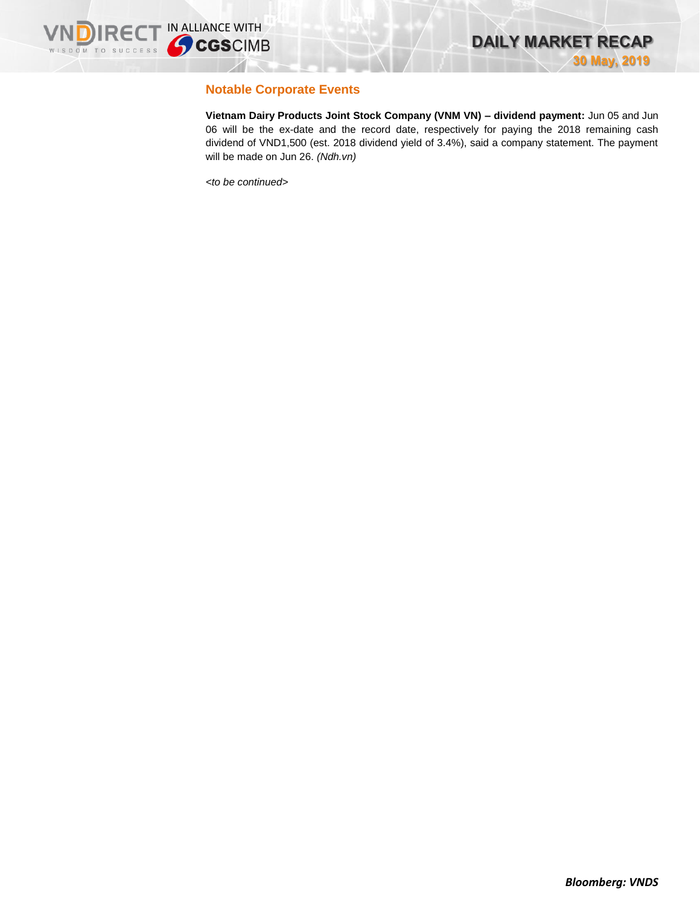

## **Notable Corporate Events**

**Vietnam Dairy Products Joint Stock Company (VNM VN) – dividend payment:** Jun 05 and Jun 06 will be the ex-date and the record date, respectively for paying the 2018 remaining cash dividend of VND1,500 (est. 2018 dividend yield of 3.4%), said a company statement. The payment will be made on Jun 26. *(Ndh.vn)*

*<to be continued>*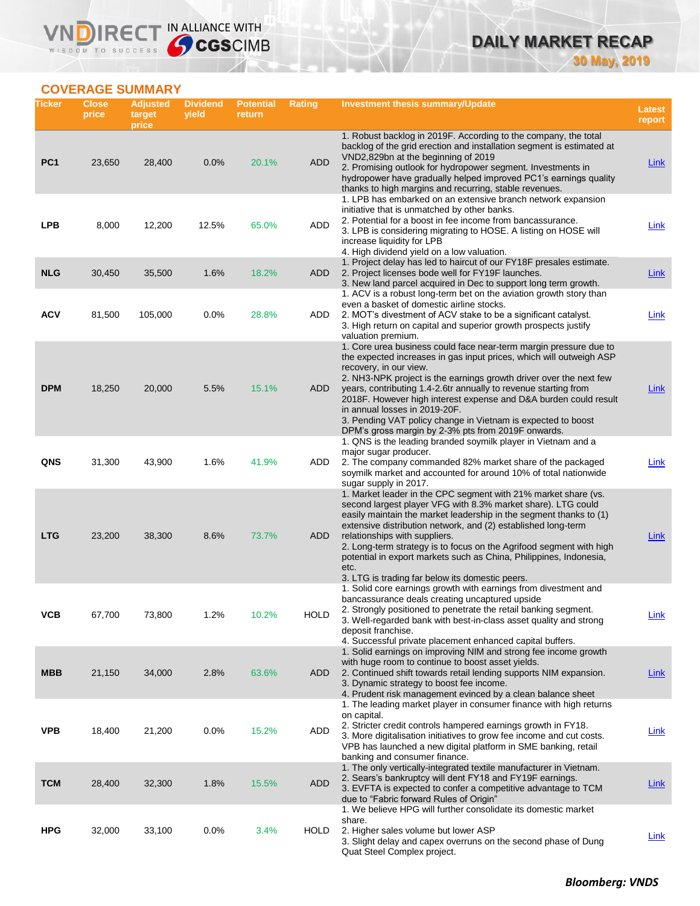# **DAILY MARKET RECAP 30 May, 2019**

## **COVERAGE SUMMARY**

WISDOM TO SUCCESS

VND

IRECT IN ALLIANCE WITH

| Ticker          | <b>Close</b><br>price | <b>Adjusted</b><br>target<br>price | <b>Dividend</b><br>yield | <b>Potential</b><br>return | Rating      | Investment thesis summary/Update                                                                                                                                                                                                                                                                                                                                                                                                                                                                                                       | Latest<br>report |
|-----------------|-----------------------|------------------------------------|--------------------------|----------------------------|-------------|----------------------------------------------------------------------------------------------------------------------------------------------------------------------------------------------------------------------------------------------------------------------------------------------------------------------------------------------------------------------------------------------------------------------------------------------------------------------------------------------------------------------------------------|------------------|
| PC <sub>1</sub> | 23,650                | 28,400                             | 0.0%                     | 20.1%                      | <b>ADD</b>  | 1. Robust backlog in 2019F. According to the company, the total<br>backlog of the grid erection and installation segment is estimated at<br>VND2,829bn at the beginning of 2019<br>2. Promising outlook for hydropower segment. Investments in<br>hydropower have gradually helped improved PC1's earnings quality<br>thanks to high margins and recurring, stable revenues.                                                                                                                                                           | <b>Link</b>      |
| <b>LPB</b>      | 8,000                 | 12,200                             | 12.5%                    | 65.0%                      | ADD         | 1. LPB has embarked on an extensive branch network expansion<br>initiative that is unmatched by other banks.<br>2. Potential for a boost in fee income from bancassurance.<br>3. LPB is considering migrating to HOSE. A listing on HOSE will<br>increase liquidity for LPB<br>4. High dividend yield on a low valuation.                                                                                                                                                                                                              | Link             |
| <b>NLG</b>      | 30,450                | 35,500                             | 1.6%                     | 18.2%                      | ADD         | 1. Project delay has led to haircut of our FY18F presales estimate.<br>2. Project licenses bode well for FY19F launches.<br>3. New land parcel acquired in Dec to support long term growth.<br>1. ACV is a robust long-term bet on the aviation growth story than                                                                                                                                                                                                                                                                      | <u>Link</u>      |
| <b>ACV</b>      | 81,500                | 105,000                            | 0.0%                     | 28.8%                      | ADD         | even a basket of domestic airline stocks.<br>2. MOT's divestment of ACV stake to be a significant catalyst.<br>3. High return on capital and superior growth prospects justify<br>valuation premium.                                                                                                                                                                                                                                                                                                                                   | <b>Link</b>      |
| <b>DPM</b>      | 18,250                | 20,000                             | 5.5%                     | 15.1%                      | ADD         | 1. Core urea business could face near-term margin pressure due to<br>the expected increases in gas input prices, which will outweigh ASP<br>recovery, in our view.<br>2. NH3-NPK project is the earnings growth driver over the next few<br>years, contributing 1.4-2.6tr annually to revenue starting from<br>2018F. However high interest expense and D&A burden could result<br>in annual losses in 2019-20F.<br>3. Pending VAT policy change in Vietnam is expected to boost<br>DPM's gross margin by 2-3% pts from 2019F onwards. | Link             |
| QNS             | 31,300                | 43,900                             | 1.6%                     | 41.9%                      | ADD         | 1. QNS is the leading branded soymilk player in Vietnam and a<br>major sugar producer.<br>2. The company commanded 82% market share of the packaged<br>soymilk market and accounted for around 10% of total nationwide<br>sugar supply in 2017.                                                                                                                                                                                                                                                                                        | Link             |
| <b>LTG</b>      | 23,200                | 38,300                             | 8.6%                     | 73.7%                      | ADD         | 1. Market leader in the CPC segment with 21% market share (vs.<br>second largest player VFG with 8.3% market share). LTG could<br>easily maintain the market leadership in the segment thanks to (1)<br>extensive distribution network, and (2) established long-term<br>relationships with suppliers.<br>2. Long-term strategy is to focus on the Agrifood segment with high<br>potential in export markets such as China, Philippines, Indonesia,<br>etc.<br>3. LTG is trading far below its domestic peers.                         | Link             |
| ۷СВ             | 67,700                | 73,800                             | 1.2%                     | 10.2%                      | <b>HOLD</b> | 1. Solid core earnings growth with earnings from divestment and<br>bancassurance deals creating uncaptured upside<br>2. Strongly positioned to penetrate the retail banking segment.<br>3. Well-regarded bank with best-in-class asset quality and strong<br>deposit franchise.<br>4. Successful private placement enhanced capital buffers.                                                                                                                                                                                           | <b>Link</b>      |
| <b>MBB</b>      | 21,150                | 34,000                             | 2.8%                     | 63.6%                      | ADD         | 1. Solid earnings on improving NIM and strong fee income growth<br>with huge room to continue to boost asset yields.<br>2. Continued shift towards retail lending supports NIM expansion.<br>3. Dynamic strategy to boost fee income.<br>4. Prudent risk management evinced by a clean balance sheet                                                                                                                                                                                                                                   | Link             |
| <b>VPB</b>      | 18,400                | 21,200                             | 0.0%                     | 15.2%                      | ADD         | 1. The leading market player in consumer finance with high returns<br>on capital.<br>2. Stricter credit controls hampered earnings growth in FY18.<br>3. More digitalisation initiatives to grow fee income and cut costs.<br>VPB has launched a new digital platform in SME banking, retail<br>banking and consumer finance.                                                                                                                                                                                                          | <u>Link</u>      |
| <b>TCM</b>      | 28,400                | 32,300                             | 1.8%                     | 15.5%                      | <b>ADD</b>  | 1. The only vertically-integrated textile manufacturer in Vietnam.<br>2. Sears's bankruptcy will dent FY18 and FY19F earnings.<br>3. EVFTA is expected to confer a competitive advantage to TCM<br>due to "Fabric forward Rules of Origin"                                                                                                                                                                                                                                                                                             | <b>Link</b>      |
| <b>HPG</b>      | 32,000                | 33,100                             | 0.0%                     | 3.4%                       | HOLD        | 1. We believe HPG will further consolidate its domestic market<br>share.<br>2. Higher sales volume but lower ASP<br>3. Slight delay and capex overruns on the second phase of Dung<br>Quat Steel Complex project.                                                                                                                                                                                                                                                                                                                      | <b>Link</b>      |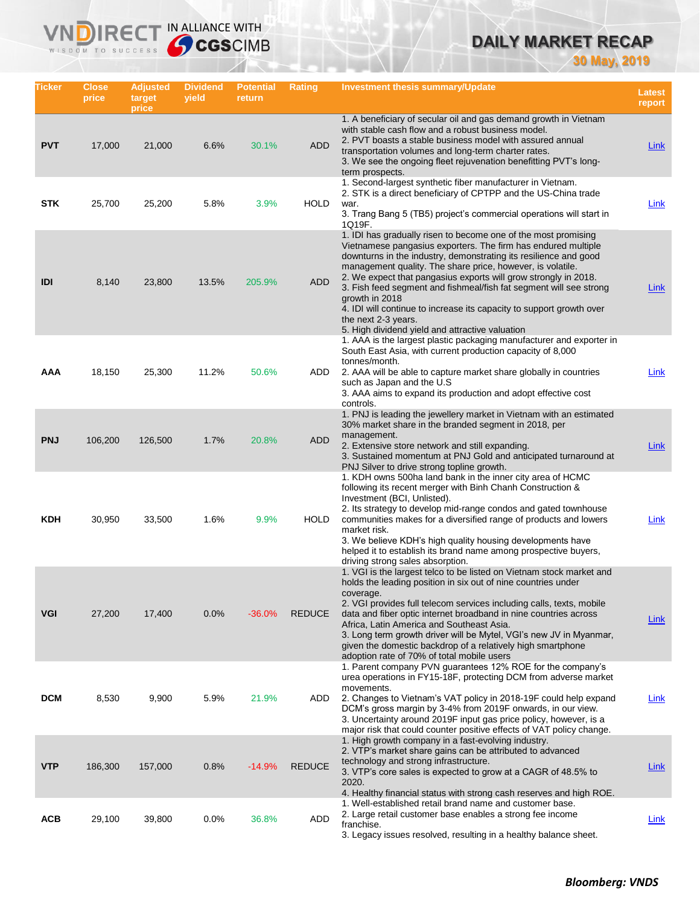# **DAILY MARKET RECAP**

**30 May, 2019**

| Ticker     | <b>Close</b><br>price | <b>Adjusted</b><br>target<br>price | <b>Dividend</b><br>yield | <b>Potential</b><br>return | Rating        | Investment thesis summary/Update                                                                                                                                                                                                                                                                                                                                                                                                                                                                                                                                               | <b>Latest</b><br>report |
|------------|-----------------------|------------------------------------|--------------------------|----------------------------|---------------|--------------------------------------------------------------------------------------------------------------------------------------------------------------------------------------------------------------------------------------------------------------------------------------------------------------------------------------------------------------------------------------------------------------------------------------------------------------------------------------------------------------------------------------------------------------------------------|-------------------------|
| <b>PVT</b> | 17,000                | 21,000                             | 6.6%                     | 30.1%                      | <b>ADD</b>    | 1. A beneficiary of secular oil and gas demand growth in Vietnam<br>with stable cash flow and a robust business model.<br>2. PVT boasts a stable business model with assured annual<br>transportation volumes and long-term charter rates.<br>3. We see the ongoing fleet rejuvenation benefitting PVT's long-<br>term prospects.                                                                                                                                                                                                                                              | <b>Link</b>             |
| <b>STK</b> | 25,700                | 25,200                             | 5.8%                     | 3.9%                       | <b>HOLD</b>   | 1. Second-largest synthetic fiber manufacturer in Vietnam.<br>2. STK is a direct beneficiary of CPTPP and the US-China trade<br>war.<br>3. Trang Bang 5 (TB5) project's commercial operations will start in<br>1Q19F.                                                                                                                                                                                                                                                                                                                                                          | Link                    |
| IDI        | 8,140                 | 23,800                             | 13.5%                    | 205.9%                     | <b>ADD</b>    | 1. IDI has gradually risen to become one of the most promising<br>Vietnamese pangasius exporters. The firm has endured multiple<br>downturns in the industry, demonstrating its resilience and good<br>management quality. The share price, however, is volatile.<br>2. We expect that pangasius exports will grow strongly in 2018.<br>3. Fish feed segment and fishmeal/fish fat segment will see strong<br>growth in 2018<br>4. IDI will continue to increase its capacity to support growth over<br>the next 2-3 years.<br>5. High dividend yield and attractive valuation | <b>Link</b>             |
| AAA        | 18,150                | 25,300                             | 11.2%                    | 50.6%                      | ADD           | 1. AAA is the largest plastic packaging manufacturer and exporter in<br>South East Asia, with current production capacity of 8,000<br>tonnes/month.<br>2. AAA will be able to capture market share globally in countries<br>such as Japan and the U.S.<br>3. AAA aims to expand its production and adopt effective cost<br>controls.                                                                                                                                                                                                                                           | Link                    |
| <b>PNJ</b> | 106,200               | 126,500                            | 1.7%                     | 20.8%                      | <b>ADD</b>    | 1. PNJ is leading the jewellery market in Vietnam with an estimated<br>30% market share in the branded segment in 2018, per<br>management.<br>2. Extensive store network and still expanding.<br>3. Sustained momentum at PNJ Gold and anticipated turnaround at<br>PNJ Silver to drive strong topline growth.                                                                                                                                                                                                                                                                 | Link                    |
| KDH        | 30,950                | 33,500                             | 1.6%                     | 9.9%                       | <b>HOLD</b>   | 1. KDH owns 500ha land bank in the inner city area of HCMC<br>following its recent merger with Binh Chanh Construction &<br>Investment (BCI, Unlisted).<br>2. Its strategy to develop mid-range condos and gated townhouse<br>communities makes for a diversified range of products and lowers<br>market risk.<br>3. We believe KDH's high quality housing developments have<br>helped it to establish its brand name among prospective buyers,<br>driving strong sales absorption.                                                                                            | Link                    |
| VGI        | 27,200                | 17,400                             | 0.0%                     | $-36.0%$                   | <b>REDUCE</b> | 1. VGI is the largest telco to be listed on Vietnam stock market and<br>holds the leading position in six out of nine countries under<br>coverage.<br>2. VGI provides full telecom services including calls, texts, mobile<br>data and fiber optic internet broadband in nine countries across<br>Africa, Latin America and Southeast Asia.<br>3. Long term growth driver will be Mytel, VGI's new JV in Myanmar,<br>given the domestic backdrop of a relatively high smartphone<br>adoption rate of 70% of total mobile users                                                 | <b>Link</b>             |
| <b>DCM</b> | 8,530                 | 9,900                              | 5.9%                     | 21.9%                      | ADD           | 1. Parent company PVN guarantees 12% ROE for the company's<br>urea operations in FY15-18F, protecting DCM from adverse market<br>movements.<br>2. Changes to Vietnam's VAT policy in 2018-19F could help expand<br>DCM's gross margin by 3-4% from 2019F onwards, in our view.<br>3. Uncertainty around 2019F input gas price policy, however, is a<br>major risk that could counter positive effects of VAT policy change.                                                                                                                                                    | Link                    |
| <b>VTP</b> | 186,300               | 157,000                            | 0.8%                     | $-14.9%$                   | <b>REDUCE</b> | 1. High growth company in a fast-evolving industry.<br>2. VTP's market share gains can be attributed to advanced<br>technology and strong infrastructure.<br>3. VTP's core sales is expected to grow at a CAGR of 48.5% to<br>2020.<br>4. Healthy financial status with strong cash reserves and high ROE.                                                                                                                                                                                                                                                                     | <b>Link</b>             |
| <b>ACB</b> | 29,100                | 39,800                             | 0.0%                     | 36.8%                      | ADD           | 1. Well-established retail brand name and customer base.<br>2. Large retail customer base enables a strong fee income<br>franchise.<br>3. Legacy issues resolved, resulting in a healthy balance sheet.                                                                                                                                                                                                                                                                                                                                                                        | <u>Link</u>             |

**VNDIRECT IN ALLIANCE WITH**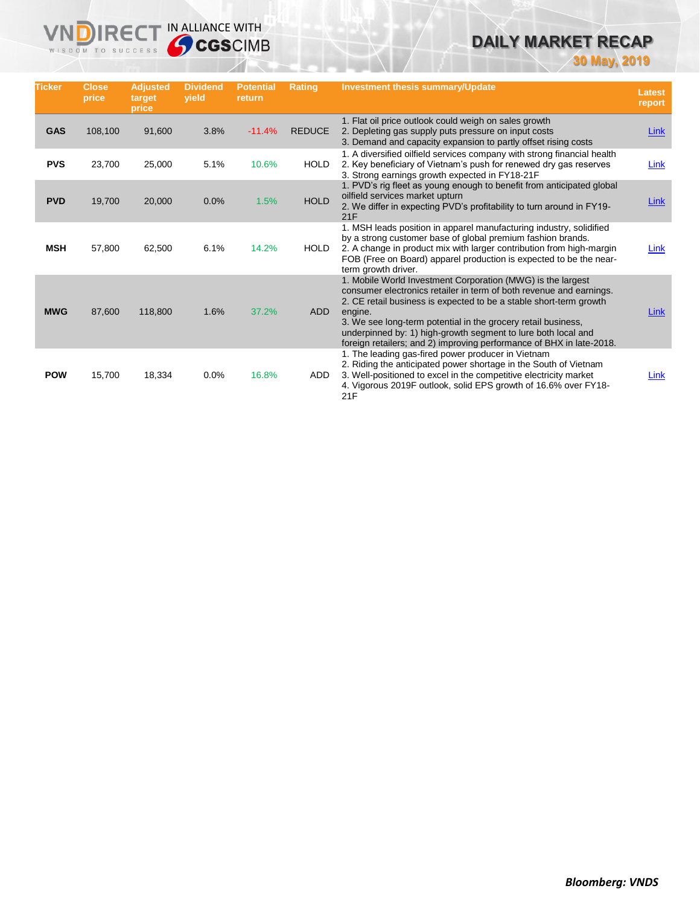# **DAILY MARKET RECAP**

**30 May, 2019**

| <b>Ticker</b> | <b>Close</b><br>price | <b>Adjusted</b><br>target<br>price | <b>Dividend</b><br>vield | <b>Potential</b><br>return | <b>Rating</b> | <b>Investment thesis summary/Update</b>                                                                                                                                                                                                                                                                                                                                                                                       | <b>Latest</b><br>report |
|---------------|-----------------------|------------------------------------|--------------------------|----------------------------|---------------|-------------------------------------------------------------------------------------------------------------------------------------------------------------------------------------------------------------------------------------------------------------------------------------------------------------------------------------------------------------------------------------------------------------------------------|-------------------------|
| <b>GAS</b>    | 108,100               | 91,600                             | 3.8%                     | $-11.4%$                   | <b>REDUCE</b> | 1. Flat oil price outlook could weigh on sales growth<br>2. Depleting gas supply puts pressure on input costs<br>3. Demand and capacity expansion to partly offset rising costs                                                                                                                                                                                                                                               | Link                    |
| <b>PVS</b>    | 23,700                | 25,000                             | 5.1%                     | 10.6%                      | <b>HOLD</b>   | 1. A diversified oilfield services company with strong financial health<br>2. Key beneficiary of Vietnam's push for renewed dry gas reserves<br>3. Strong earnings growth expected in FY18-21F                                                                                                                                                                                                                                | Link                    |
| <b>PVD</b>    | 19,700                | 20,000                             | 0.0%                     | 1.5%                       | <b>HOLD</b>   | 1. PVD's rig fleet as young enough to benefit from anticipated global<br>oilfield services market upturn<br>2. We differ in expecting PVD's profitability to turn around in FY19-<br>21F                                                                                                                                                                                                                                      | Link                    |
| <b>MSH</b>    | 57,800                | 62,500                             | 6.1%                     | 14.2%                      | <b>HOLD</b>   | 1. MSH leads position in apparel manufacturing industry, solidified<br>by a strong customer base of global premium fashion brands.<br>2. A change in product mix with larger contribution from high-margin<br>FOB (Free on Board) apparel production is expected to be the near-<br>term growth driver.                                                                                                                       | Link                    |
| <b>MWG</b>    | 87,600                | 118,800                            | 1.6%                     | 37.2%                      | <b>ADD</b>    | 1. Mobile World Investment Corporation (MWG) is the largest<br>consumer electronics retailer in term of both revenue and earnings.<br>2. CE retail business is expected to be a stable short-term growth<br>engine.<br>3. We see long-term potential in the grocery retail business,<br>underpinned by: 1) high-growth segment to lure both local and<br>foreign retailers; and 2) improving performance of BHX in late-2018. | Link                    |
| <b>POW</b>    | 15,700                | 18,334                             | 0.0%                     | 16.8%                      | <b>ADD</b>    | 1. The leading gas-fired power producer in Vietnam<br>2. Riding the anticipated power shortage in the South of Vietnam<br>3. Well-positioned to excel in the competitive electricity market<br>4. Vigorous 2019F outlook, solid EPS growth of 16.6% over FY18-<br>21F                                                                                                                                                         | Link                    |

**VNDIRECT IN ALLIANCE WITH** 

WISDOM TO SUCCESS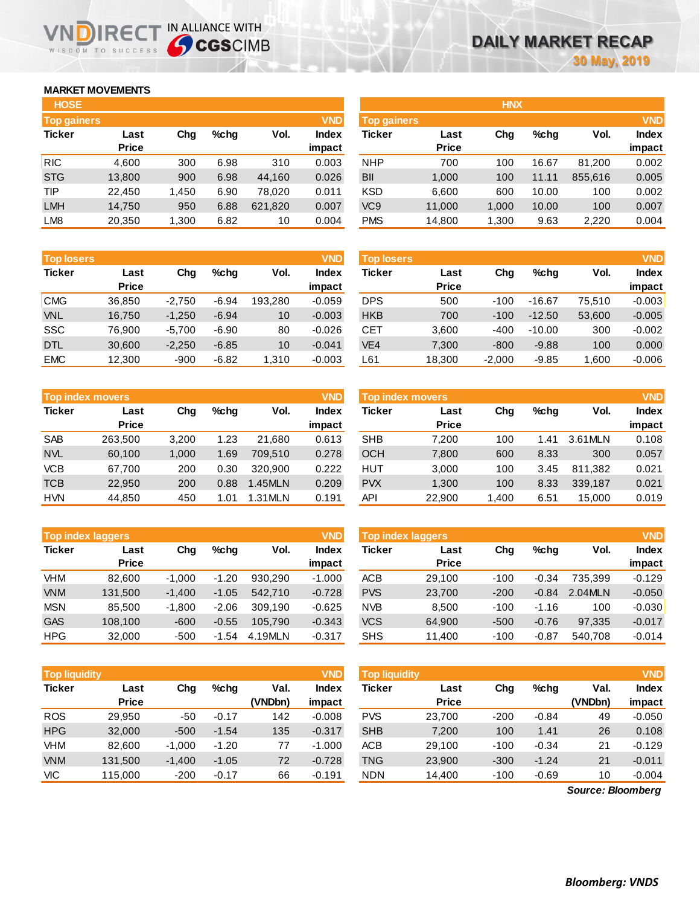## **MARKET MOVEMENTS**

WISDOM TO SUCCESS

n

| <b>HOSE</b>        |              |       |         |         |              | <b>HNX</b>      |              |       |         |         |            |
|--------------------|--------------|-------|---------|---------|--------------|-----------------|--------------|-------|---------|---------|------------|
| <b>Top gainers</b> |              |       |         |         | <b>VND</b>   | Top gainers     |              |       |         |         | <b>VND</b> |
| <b>Ticker</b>      | Last         | Chg   | $%$ chq | Vol.    | <b>Index</b> | <b>Ticker</b>   | Last         | Chg   | $%$ chg | Vol.    | Index      |
|                    | <b>Price</b> |       |         |         | impact       |                 | <b>Price</b> |       |         |         | impact     |
| <b>RIC</b>         | 4,600        | 300   | 6.98    | 310     | 0.003        | <b>NHP</b>      | 700          | 100   | 16.67   | 81,200  | 0.002      |
| <b>STG</b>         | 13,800       | 900   | 6.98    | 44,160  | 0.026        | <b>BII</b>      | 1,000        | 100   | 11.11   | 855,616 | 0.005      |
| TIP                | 22,450       | 1,450 | 6.90    | 78,020  | 0.011        | <b>KSD</b>      | 6,600        | 600   | 10.00   | 100     | 0.002      |
| <b>LMH</b>         | 14,750       | 950   | 6.88    | 621,820 | 0.007        | VC <sub>9</sub> | 11,000       | 1,000 | 10.00   | 100     | 0.007      |
| LM <sub>8</sub>    | 20,350       | 1,300 | 6.82    | 10      | 0.004        | <b>PMS</b>      | 14,800       | 1,300 | 9.63    | 2,220   | 0.004      |
|                    |              |       |         |         |              |                 |              |       |         |         |            |

IRECT IN ALLIANCE WITH

| <b>Top losers</b> |              |          |         |         | <b>VND</b>   |
|-------------------|--------------|----------|---------|---------|--------------|
| <b>Ticker</b>     | Last         | Cha      | %chq    | Vol.    | <b>Index</b> |
|                   | <b>Price</b> |          |         |         | impact       |
| <b>CMG</b>        | 36,850       | $-2,750$ | $-6.94$ | 193.280 | $-0.059$     |
| <b>VNL</b>        | 16,750       | $-1,250$ | $-6.94$ | 10      | $-0.003$     |
| <b>SSC</b>        | 76,900       | $-5,700$ | $-6.90$ | 80      | $-0.026$     |
| <b>DTL</b>        | 30,600       | $-2,250$ | $-6.85$ | 10      | $-0.041$     |
| <b>EMC</b>        | 12,300       | $-900$   | $-6.82$ | 1,310   | $-0.003$     |

| <b>VND</b><br><b>Top index movers</b> |              |       |      |         |              |  |  |  |  |
|---------------------------------------|--------------|-------|------|---------|--------------|--|--|--|--|
| <b>Ticker</b>                         | Last         | Cha   | %chq | Vol.    | <b>Index</b> |  |  |  |  |
|                                       | <b>Price</b> |       |      |         | impact       |  |  |  |  |
| <b>SAB</b>                            | 263,500      | 3,200 | 1.23 | 21,680  | 0.613        |  |  |  |  |
| <b>NVL</b>                            | 60,100       | 1,000 | 1.69 | 709,510 | 0.278        |  |  |  |  |
| <b>VCB</b>                            | 67,700       | 200   | 0.30 | 320.900 | 0.222        |  |  |  |  |
| <b>TCB</b>                            | 22,950       | 200   | 0.88 | 1.45MLN | 0.209        |  |  |  |  |
| <b>HVN</b>                            | 44,850       | 450   | 1.01 | 1.31MLN | 0.191        |  |  |  |  |

| <b>VND</b><br><b>Top index laggers</b> |              |          |         |         |              |  |  |  |  |
|----------------------------------------|--------------|----------|---------|---------|--------------|--|--|--|--|
| <b>Ticker</b>                          | Last         | Cha      | %chq    | Vol.    | <b>Index</b> |  |  |  |  |
|                                        | <b>Price</b> |          |         |         | impact       |  |  |  |  |
| VHM                                    | 82.600       | $-1,000$ | $-1.20$ | 930,290 | $-1.000$     |  |  |  |  |
| <b>VNM</b>                             | 131,500      | $-1,400$ | $-1.05$ | 542.710 | $-0.728$     |  |  |  |  |
| <b>MSN</b>                             | 85.500       | $-1,800$ | $-2.06$ | 309,190 | $-0.625$     |  |  |  |  |
| <b>GAS</b>                             | 108,100      | $-600$   | $-0.55$ | 105.790 | $-0.343$     |  |  |  |  |
| <b>HPG</b>                             | 32.000       | $-500$   | $-1.54$ | 4.19MLN | $-0.317$     |  |  |  |  |

|               | <b>VND</b><br><b>Top liquidity</b> |          |         |         |              |  |  |  |  |  |
|---------------|------------------------------------|----------|---------|---------|--------------|--|--|--|--|--|
| <b>Ticker</b> | Last                               | Cha      | %chq    | Val.    | <b>Index</b> |  |  |  |  |  |
|               | <b>Price</b>                       |          |         | (VNDbn) | impact       |  |  |  |  |  |
| <b>ROS</b>    | 29.950                             | -50      | $-0.17$ | 142     | $-0.008$     |  |  |  |  |  |
| <b>HPG</b>    | 32,000                             | $-500$   | $-1.54$ | 135     | $-0.317$     |  |  |  |  |  |
| VHM           | 82,600                             | $-1,000$ | $-1.20$ | 77      | $-1.000$     |  |  |  |  |  |
| <b>VNM</b>    | 131,500                            | $-1,400$ | $-1.05$ | 72      | $-0.728$     |  |  |  |  |  |
| VIC           | 115.000                            | $-200$   | $-0.17$ | 66      | $-0.191$     |  |  |  |  |  |

| <b>HOSE</b>        |              |       |         |         |              |                    |              | <b>HNX</b> |         |         |              |
|--------------------|--------------|-------|---------|---------|--------------|--------------------|--------------|------------|---------|---------|--------------|
| <b>Top gainers</b> |              |       |         |         | <b>VND</b>   | <b>Top gainers</b> |              |            |         |         | <b>VND</b>   |
| Ticker             | Last         | Chg   | $%$ chq | Vol.    | <b>Index</b> | Ticker             | Last         | Chg        | $%$ chg | Vol.    | <b>Index</b> |
|                    | <b>Price</b> |       |         |         | impact       |                    | <b>Price</b> |            |         |         | impact       |
| <b>RIC</b>         | 4,600        | 300   | 6.98    | 310     | 0.003        | <b>NHP</b>         | 700          | 100        | 16.67   | 81.200  | 0.002        |
| <b>STG</b>         | 13,800       | 900   | 6.98    | 44,160  | 0.026        | <b>BII</b>         | 1,000        | 100        | 11.11   | 855,616 | 0.005        |
| TIP                | 22.450       | 1.450 | 6.90    | 78.020  | 0.011        | <b>KSD</b>         | 6.600        | 600        | 10.00   | 100     | 0.002        |
| <b>LMH</b>         | 14,750       | 950   | 6.88    | 621,820 | 0.007        | VC <sub>9</sub>    | 11,000       | 1,000      | 10.00   | 100     | 0.007        |
| LM <sub>8</sub>    | 20,350       | 1,300 | 6.82    | 10      | 0.004        | <b>PMS</b>         | 14,800       | 1.300      | 9.63    | 2,220   | 0.004        |

| <b>Top losers</b> |                      |          |         |         | <b>VND</b>             | <b>Top losers</b> |                      |          |          |        |                        |
|-------------------|----------------------|----------|---------|---------|------------------------|-------------------|----------------------|----------|----------|--------|------------------------|
| <b>Ticker</b>     | Last<br><b>Price</b> | Chg      | $%$ chq | Vol.    | <b>Index</b><br>impact | Ticker            | Last<br><b>Price</b> | Chg      | $%$ chq  | Vol.   | <b>Index</b><br>impact |
| <b>CMG</b>        | 36.850               | $-2.750$ | $-6.94$ | 193.280 | $-0.059$               | <b>DPS</b>        | 500                  | $-100$   | $-16.67$ | 75.510 | $-0.003$               |
| VNL               | 16,750               | $-1,250$ | $-6.94$ | 10      | $-0.003$               | <b>HKB</b>        | 700                  | $-100$   | $-12.50$ | 53,600 | $-0.005$               |
| SSC               | 76.900               | $-5.700$ | $-6.90$ | 80      | $-0.026$               | CET               | 3,600                | $-400$   | $-10.00$ | 300    | $-0.002$               |
| <b>DTL</b>        | 30.600               | $-2,250$ | $-6.85$ | 10      | $-0.041$               | VE4               | 7,300                | $-800$   | $-9.88$  | 100    | 0.000                  |
| <b>EMC</b>        | 12,300               | $-900$   | $-6.82$ | 1,310   | $-0.003$               | L61               | 18,300               | $-2,000$ | $-9.85$  | 1,600  | $-0.006$               |

|            | Top index movers |       |         |         | <b>VND</b>   | <b>Top index movers</b> |              |      |         |         | <b>VND</b>   |
|------------|------------------|-------|---------|---------|--------------|-------------------------|--------------|------|---------|---------|--------------|
| Ticker     | Last             | Chg   | $%$ chq | Vol.    | <b>Index</b> | Ticker                  | Last         | Chg  | $%$ chq | Vol.    | <b>Index</b> |
|            | <b>Price</b>     |       |         |         | impact       |                         | <b>Price</b> |      |         |         | impact       |
| <b>SAB</b> | 263.500          | 3.200 | 1.23    | 21.680  | 0.613        | <b>SHB</b>              | 7.200        | 100  | 1.41    | 3.61MLN | 0.108        |
| <b>NVL</b> | 60.100           | 1.000 | 1.69    | 709.510 | 0.278        | <b>OCH</b>              | 7,800        | 600  | 8.33    | 300     | 0.057        |
| <b>VCB</b> | 67.700           | 200   | 0.30    | 320,900 | 0.222        | HUT                     | 3,000        | 100  | 3.45    | 811.382 | 0.021        |
| TCB        | 22,950           | 200   | 0.88    | 1.45MLN | 0.209        | <b>PVX</b>              | 1.300        | 100  | 8.33    | 339.187 | 0.021        |
| <b>HVN</b> | 44,850           | 450   | 1.01    | 1.31MLN | 0.191        | API                     | 22,900       | ,400 | 6.51    | 15.000  | 0.019        |

|            | <b>Top index laggers</b> |          |         |         | VND                    | <b>Top index laggers</b> |                      |        |         |         |                        |
|------------|--------------------------|----------|---------|---------|------------------------|--------------------------|----------------------|--------|---------|---------|------------------------|
| Ticker     | Last<br><b>Price</b>     | Chg      | $%$ chq | Vol.    | <b>Index</b><br>impact | Ticker                   | Last<br><b>Price</b> | Chg    | $%$ chq | Vol.    | <b>Index</b><br>impact |
| VHM        | 82.600                   | $-1.000$ | $-1.20$ | 930.290 | $-1.000$               | <b>ACB</b>               | 29.100               | $-100$ | $-0.34$ | 735.399 | $-0.129$               |
| <b>VNM</b> | 131,500                  | $-1.400$ | $-1.05$ | 542.710 | $-0.728$               | <b>PVS</b>               | 23,700               | $-200$ | $-0.84$ | 2.04MLN | $-0.050$               |
| <b>MSN</b> | 85.500                   | $-1.800$ | $-2.06$ | 309.190 | $-0.625$               | <b>NVB</b>               | 8.500                | $-100$ | $-1.16$ | 100     | $-0.030$               |
| <b>GAS</b> | 108.100                  | $-600$   | $-0.55$ | 105.790 | $-0.343$               | <b>VCS</b>               | 64.900               | $-500$ | $-0.76$ | 97.335  | $-0.017$               |
| HPG        | 32,000                   | $-500$   | $-1.54$ | 4.19MLN | $-0.317$               | <b>SHS</b>               | 11,400               | $-100$ | $-0.87$ | 540.708 | $-0.014$               |

| <b>Top liquidity</b> |                      |          |         |                 | <b>VND</b>             | <b>Top liquidity</b> |                      |        |         |                   |                        |
|----------------------|----------------------|----------|---------|-----------------|------------------------|----------------------|----------------------|--------|---------|-------------------|------------------------|
| Ticker               | Last<br><b>Price</b> | Chg      | %chq    | Val.<br>(VNDbn) | <b>Index</b><br>impact | Ticker               | Last<br><b>Price</b> | Chg    | $%$ chq | Val.<br>(VNDbn)   | <b>Index</b><br>impact |
| ROS                  | 29,950               | -50      | $-0.17$ | 142             | $-0.008$               | <b>PVS</b>           | 23,700               | $-200$ | $-0.84$ | 49                | $-0.050$               |
| <b>HPG</b>           | 32,000               | $-500$   | $-1.54$ | 135             | $-0.317$               | <b>SHB</b>           | 7,200                | 100    | 1.41    | 26                | 0.108                  |
| VHM                  | 82.600               | $-1,000$ | $-1.20$ | 77              | $-1.000$               | <b>ACB</b>           | 29.100               | $-100$ | $-0.34$ | 21                | $-0.129$               |
| <b>VNM</b>           | 131.500              | $-1,400$ | $-1.05$ | 72              | $-0.728$               | <b>TNG</b>           | 23,900               | $-300$ | $-1.24$ | 21                | $-0.011$               |
| VIC                  | 115,000              | $-200$   | $-0.17$ | 66              | $-0.191$               | <b>NDN</b>           | 14,400               | $-100$ | $-0.69$ | 10                | $-0.004$               |
|                      |                      |          |         |                 |                        |                      |                      |        |         | Source: Bloomberg |                        |

*Source: Bloomberg*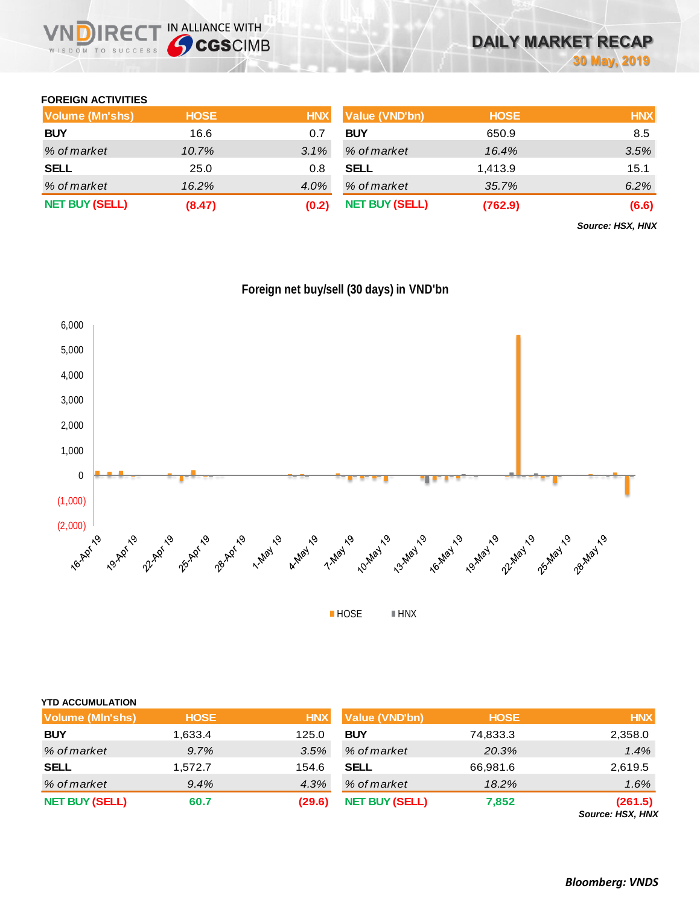

### **FOREIGN ACTIVITIES**

| <b>Volume (Mn'shs)</b> | <b>HOSE</b> | <b>HNX</b> | <b>Value (VND'bn)</b> | <b>HOSE</b> | <b>HNX</b> |
|------------------------|-------------|------------|-----------------------|-------------|------------|
| <b>BUY</b>             | 16.6        | 0.7        | <b>BUY</b>            | 650.9       | 8.5        |
| % of market            | 10.7%       | 3.1%       | % of market           | 16.4%       | 3.5%       |
| <b>SELL</b>            | 25.0        | 0.8        | <b>SELL</b>           | 1.413.9     | 15.1       |
| % of market            | $16.2\%$    | 4.0%       | % of market           | 35.7%       | 6.2%       |
| <b>NET BUY (SELL)</b>  | (8.47)      | (0.2)      | <b>NET BUY (SELL)</b> | (762.9)     | (6.6)      |

*Source: HSX, HNX*



|  |  | Foreign net buy/sell (30 days) in VND'bn |
|--|--|------------------------------------------|
|  |  |                                          |

| <b>YTD ACCUMULATION</b> |             |            |                       |             |                                    |
|-------------------------|-------------|------------|-----------------------|-------------|------------------------------------|
| Volume (MIn'shs)        | <b>HOSE</b> | <b>HNX</b> | Value (VND'bn)        | <b>HOSE</b> | <b>HNX</b>                         |
| <b>BUY</b>              | 1,633.4     | 125.0      | <b>BUY</b>            | 74,833.3    | 2,358.0                            |
| % of market             | 9.7%        | 3.5%       | % of market           | 20.3%       | 1.4%                               |
| <b>SELL</b>             | 1,572.7     | 154.6      | <b>SELL</b>           | 66,981.6    | 2,619.5                            |
| % of market             | 9.4%        | 4.3%       | % of market           | 18.2%       | 1.6%                               |
| <b>NET BUY (SELL)</b>   | 60.7        | (29.6)     | <b>NET BUY (SELL)</b> | 7,852       | (261.5)<br><b>Source: HSX, HNX</b> |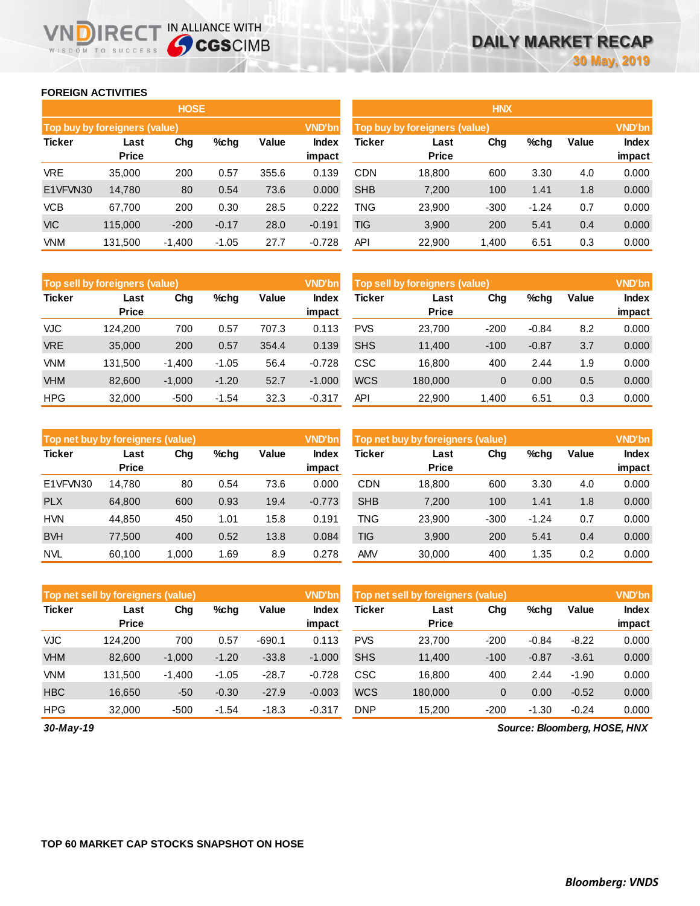### **FOREIGN ACTIVITIES**

WISDOM TO SUCCESS

R<sub>E</sub>

**THE IN ALLIANCE WITH<br>
CGSCIMB** 

|                               |                      | <b>HOSE</b> |         |       |                 | <b>HNX</b>                    |                      |               |         |       |                 |
|-------------------------------|----------------------|-------------|---------|-------|-----------------|-------------------------------|----------------------|---------------|---------|-------|-----------------|
| Top buy by foreigners (value) |                      |             |         |       | <b>VND'bn</b>   | Top buy by foreigners (value) |                      | <b>VND'bn</b> |         |       |                 |
| <b>Ticker</b>                 | Last<br><b>Price</b> | Chg         | %chq    | Value | Index<br>impact | Ticker                        | Last<br><b>Price</b> | Chg           | %chg    | Value | Index<br>impact |
| <b>VRE</b>                    | 35,000               | 200         | 0.57    | 355.6 | 0.139           | <b>CDN</b>                    | 18.800               | 600           | 3.30    | 4.0   | 0.000           |
| E1VFVN30                      | 14,780               | 80          | 0.54    | 73.6  | 0.000           | <b>SHB</b>                    | 7,200                | 100           | 1.41    | 1.8   | 0.000           |
| <b>VCB</b>                    | 67.700               | 200         | 0.30    | 28.5  | 0.222           | <b>TNG</b>                    | 23,900               | $-300$        | $-1.24$ | 0.7   | 0.000           |
| <b>VIC</b>                    | 115,000              | $-200$      | $-0.17$ | 28.0  | $-0.191$        | TIG                           | 3,900                | 200           | 5.41    | 0.4   | 0.000           |
| <b>VNM</b>                    | 131,500              | $-1,400$    | $-1.05$ | 27.7  | $-0.728$        | API                           | 22,900               | 1,400         | 6.51    | 0.3   | 0.000           |

|               | Top sell by foreigners (value) |          |         |       | <b>VND'bn</b>          | <b>VND'bn</b><br>Top sell by foreigners (value) |                      |                |         |       |                 |
|---------------|--------------------------------|----------|---------|-------|------------------------|-------------------------------------------------|----------------------|----------------|---------|-------|-----------------|
| <b>Ticker</b> | Last<br><b>Price</b>           | Chg      | $%$ chg | Value | <b>Index</b><br>impact | Ticker                                          | Last<br><b>Price</b> | Chg            | %chg    | Value | Index<br>impact |
| VJC           | 124.200                        | 700      | 0.57    | 707.3 | 0.113                  | <b>PVS</b>                                      | 23.700               | $-200$         | $-0.84$ | 8.2   | 0.000           |
| <b>VRE</b>    | 35,000                         | 200      | 0.57    | 354.4 | 0.139                  | <b>SHS</b>                                      | 11,400               | $-100$         | $-0.87$ | 3.7   | 0.000           |
| <b>VNM</b>    | 131,500                        | $-1.400$ | $-1.05$ | 56.4  | $-0.728$               | CSC                                             | 16.800               | 400            | 2.44    | 1.9   | 0.000           |
| <b>VHM</b>    | 82,600                         | $-1,000$ | $-1.20$ | 52.7  | $-1.000$               | <b>WCS</b>                                      | 180,000              | $\overline{0}$ | 0.00    | 0.5   | 0.000           |
| <b>HPG</b>    | 32,000                         | $-500$   | $-1.54$ | 32.3  | $-0.317$               | API                                             | 22,900               | 1,400          | 6.51    | 0.3   | 0.000           |

| Top net buy by foreigners (value) |                      |       |         |       | <b>VND'bn</b>          | Top net buy by foreigners (value) |                      |        |         |       | <b>VND'bn</b>   |
|-----------------------------------|----------------------|-------|---------|-------|------------------------|-----------------------------------|----------------------|--------|---------|-------|-----------------|
| <b>Ticker</b>                     | Last<br><b>Price</b> | Chg   | $%$ chg | Value | <b>Index</b><br>impact | Ticker                            | Last<br><b>Price</b> | Chg    | %chg    | Value | Index<br>impact |
| E1VFVN30                          | 14.780               | 80    | 0.54    | 73.6  | 0.000                  | <b>CDN</b>                        | 18,800               | 600    | 3.30    | 4.0   | 0.000           |
| <b>PLX</b>                        | 64,800               | 600   | 0.93    | 19.4  | $-0.773$               | <b>SHB</b>                        | 7,200                | 100    | 1.41    | 1.8   | 0.000           |
| <b>HVN</b>                        | 44.850               | 450   | 1.01    | 15.8  | 0.191                  | TNG                               | 23.900               | $-300$ | $-1.24$ | 0.7   | 0.000           |
| <b>BVH</b>                        | 77.500               | 400   | 0.52    | 13.8  | 0.084                  | <b>TIG</b>                        | 3,900                | 200    | 5.41    | 0.4   | 0.000           |
| <b>NVL</b>                        | 60.100               | 1.000 | 1.69    | 8.9   | 0.278                  | <b>AMV</b>                        | 30,000               | 400    | 1.35    | 0.2   | 0.000           |

|               | Top net sell by foreigners (value) |          |         |          | <b>VND'bn</b>   | Top net sell by foreigners (value) |                      |                |         |         |                 |
|---------------|------------------------------------|----------|---------|----------|-----------------|------------------------------------|----------------------|----------------|---------|---------|-----------------|
| <b>Ticker</b> | Last<br><b>Price</b>               | Chg      | %chg    | Value    | Index<br>impact | Ticker                             | Last<br><b>Price</b> | Chg            | %chg    | Value   | Index<br>impact |
| <b>VJC</b>    | 124.200                            | 700      | 0.57    | $-690.1$ | 0.113           | <b>PVS</b>                         | 23.700               | $-200$         | $-0.84$ | $-8.22$ | 0.000           |
| <b>VHM</b>    | 82,600                             | $-1.000$ | $-1.20$ | $-33.8$  | $-1.000$        | <b>SHS</b>                         | 11.400               | $-100$         | $-0.87$ | $-3.61$ | 0.000           |
| <b>VNM</b>    | 131,500                            | $-1,400$ | $-1.05$ | $-28.7$  | $-0.728$        | CSC                                | 16,800               | 400            | 2.44    | $-1.90$ | 0.000           |
| <b>HBC</b>    | 16,650                             | $-50$    | $-0.30$ | $-27.9$  | $-0.003$        | <b>WCS</b>                         | 180,000              | $\overline{0}$ | 0.00    | $-0.52$ | 0.000           |
| <b>HPG</b>    | 32,000                             | $-500$   | $-1.54$ | $-18.3$  | $-0.317$        | <b>DNP</b>                         | 15.200               | $-200$         | $-1.30$ | $-0.24$ | 0.000           |

*30-May-19*

*Source: Bloomberg, HOSE, HNX*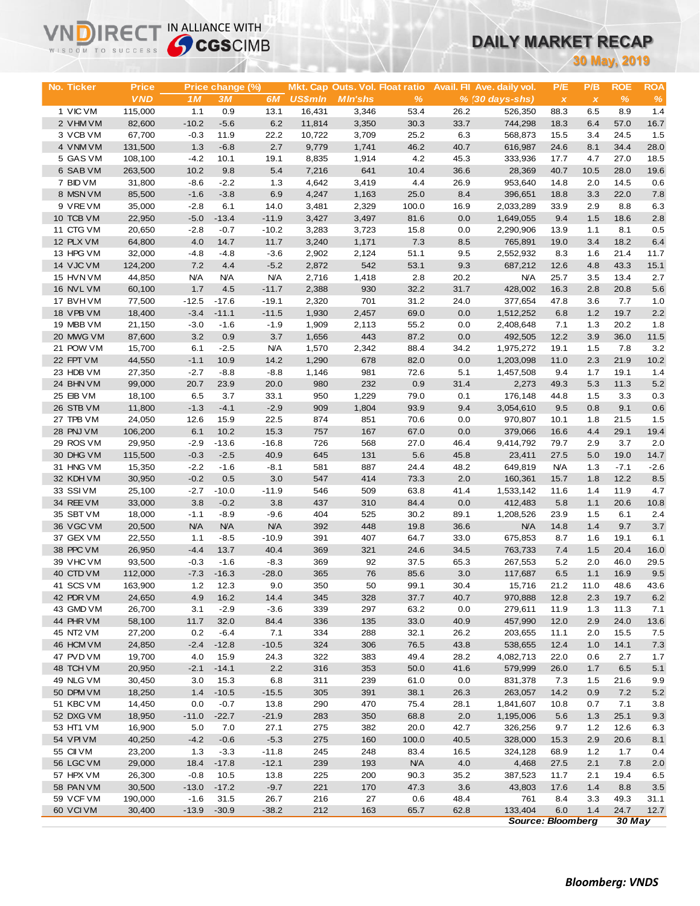## **DAILY MARKET RECAP**

| WISDOM TO SUCCESS      | <b>Sy CGS</b> CIMB |                  |                   |                |                |                                 |              | DAILY MARKET RECAP |                            |                          |                           |              |              |  |
|------------------------|--------------------|------------------|-------------------|----------------|----------------|---------------------------------|--------------|--------------------|----------------------------|--------------------------|---------------------------|--------------|--------------|--|
|                        |                    |                  |                   |                |                |                                 |              |                    | 30 May, 2019               |                          |                           |              |              |  |
|                        |                    |                  |                   |                |                |                                 |              |                    |                            |                          |                           |              |              |  |
| <b>No. Ticker</b>      | <b>Price</b>       |                  | Price change (%)  |                |                | Mkt. Cap Outs. Vol. Float ratio |              |                    | Avail. Fil Ave. daily vol. | P/E                      | P/B                       | <b>ROE</b>   | <b>ROA</b>   |  |
|                        | <b>VND</b>         | 1M               | 3M                | 6M             | <b>US\$mln</b> | <b>MIn'shs</b>                  | $\%$         |                    | % (30 days-shs)            | $\pmb{\chi}$             | $\boldsymbol{\mathsf{x}}$ | $\%$         | $\%$         |  |
| 1 VIC VM               | 115,000            | 1.1              | 0.9               | 13.1           | 16,431         | 3,346                           | 53.4         | 26.2               | 526,350                    | 88.3                     | 6.5                       | 8.9          | 1.4          |  |
| 2 VHM VM               | 82,600             | $-10.2$          | $-5.6$            | 6.2            | 11,814         | 3,350                           | 30.3         | 33.7               | 744,298                    | 18.3                     | 6.4                       | 57.0         | 16.7         |  |
| 3 VCB VM               | 67,700             | $-0.3$           | 11.9              | 22.2           | 10,722         | 3,709                           | 25.2         | 6.3                | 568,873                    | 15.5                     | 3.4                       | 24.5         | 1.5          |  |
| 4 VNM VM               | 131,500            | 1.3              | $-6.8$            | 2.7            | 9,779          | 1,741                           | 46.2         | 40.7               | 616,987                    | 24.6                     | 8.1                       | 34.4         | 28.0         |  |
| 5 GAS VM               | 108,100            | $-4.2$           | 10.1              | 19.1           | 8,835          | 1,914                           | 4.2          | 45.3               | 333,936                    | 17.7                     | 4.7                       | 27.0         | 18.5         |  |
| 6 SAB VM<br>7 BID VM   | 263,500            | 10.2             | 9.8<br>$-2.2$     | 5.4            | 7,216          | 641                             | 10.4         | 36.6               | 28,369                     | 40.7                     | 10.5                      | 28.0         | 19.6         |  |
| 8 MSN VM               | 31,800<br>85,500   | $-8.6$<br>$-1.6$ | $-3.8$            | 1.3<br>6.9     | 4,642<br>4,247 | 3,419<br>1,163                  | 4.4<br>25.0  | 26.9<br>8.4        | 953,640<br>396,651         | 14.8<br>18.8             | 2.0<br>3.3                | 14.5<br>22.0 | 0.6<br>7.8   |  |
| 9 VREVM                | 35,000             | $-2.8$           | 6.1               | 14.0           | 3,481          | 2,329                           | 100.0        | 16.9               | 2,033,289                  | 33.9                     | 2.9                       | 8.8          | 6.3          |  |
| 10 TCB VM              | 22,950             | $-5.0$           | $-13.4$           | $-11.9$        | 3,427          | 3,497                           | 81.6         | 0.0                | 1,649,055                  | 9.4                      | 1.5                       | 18.6         | 2.8          |  |
| 11 CTG VM              | 20,650             | $-2.8$           | $-0.7$            | $-10.2$        | 3,283          | 3,723                           | 15.8         | 0.0                | 2,290,906                  | 13.9                     | 1.1                       | 8.1          | 0.5          |  |
| 12 PLX VM              | 64,800             | 4.0              | 14.7              | 11.7           | 3,240          | 1,171                           | 7.3          | 8.5                | 765,891                    | 19.0                     | 3.4                       | 18.2         | 6.4          |  |
| 13 HPG VM              | 32,000             | $-4.8$           | $-4.8$            | $-3.6$         | 2,902          | 2,124                           | 51.1         | 9.5                | 2,552,932                  | 8.3                      | 1.6                       | 21.4         | 11.7         |  |
| 14 VJC VM              | 124,200            | 7.2              | 4.4               | $-5.2$         | 2,872          | 542                             | 53.1         | 9.3                | 687,212                    | 12.6                     | 4.8                       | 43.3         | 15.1         |  |
| 15 HVN VM              | 44,850             | <b>N/A</b>       | <b>N/A</b>        | <b>N/A</b>     | 2,716          | 1,418                           | 2.8          | 20.2               | <b>N/A</b>                 | 25.7                     | 3.5                       | 13.4         | 2.7          |  |
| 16 NVL VM              | 60,100             | 1.7              | 4.5               | $-11.7$        | 2,388          | 930                             | 32.2         | 31.7               | 428,002                    | 16.3                     | 2.8                       | 20.8         | 5.6          |  |
| 17 BVHVM               | 77,500             | $-12.5$          | $-17.6$           | $-19.1$        | 2,320          | 701                             | 31.2         | 24.0               | 377,654                    | 47.8                     | 3.6                       | 7.7          | 1.0          |  |
| 18 VPB VM              | 18,400             | $-3.4$           | $-11.1$           | $-11.5$        | 1,930          | 2,457                           | 69.0         | 0.0                | 1,512,252                  | 6.8                      | 1.2                       | 19.7         | 2.2          |  |
| 19 MBB VM              | 21,150             | $-3.0$           | $-1.6$            | $-1.9$         | 1,909          | 2,113                           | 55.2         | 0.0                | 2,408,648                  | 7.1                      | 1.3                       | 20.2         | 1.8          |  |
| 20 MWG VM              | 87,600             | 3.2              | 0.9               | 3.7            | 1,656          | 443                             | 87.2         | 0.0                | 492,505                    | 12.2                     | 3.9                       | 36.0         | 11.5         |  |
| 21 POW VM              | 15,700             | 6.1              | $-2.5$            | <b>N/A</b>     | 1,570          | 2,342                           | 88.4         | 34.2               | 1,975,272                  | 19.1                     | 1.5                       | 7.8          | 3.2          |  |
| 22 FPT VM              | 44,550             | $-1.1$           | 10.9              | 14.2           | 1,290          | 678                             | 82.0         | 0.0                | 1,203,098                  | 11.0                     | 2.3                       | 21.9         | 10.2         |  |
| 23 HDB VM              | 27,350             | $-2.7$           | $-8.8$            | $-8.8$         | 1,146          | 981                             | 72.6         | 5.1                | 1,457,508                  | 9.4                      | 1.7                       | 19.1         | 1.4          |  |
| 24 BHN VM              | 99,000             | 20.7             | 23.9              | 20.0           | 980            | 232                             | 0.9          | 31.4               | 2,273                      | 49.3                     | 5.3                       | 11.3         | 5.2          |  |
| 25 EIB VM              | 18,100             | 6.5              | 3.7               | 33.1           | 950            | 1,229                           | 79.0         | 0.1                | 176,148                    | 44.8                     | 1.5                       | 3.3          | 0.3          |  |
| 26 STB VM              | 11,800             | $-1.3$           | $-4.1$            | $-2.9$         | 909            | 1,804                           | 93.9         | 9.4                | 3,054,610                  | 9.5                      | 0.8                       | 9.1          | 0.6          |  |
| 27 TPB VM<br>28 PNJ VM | 24,050<br>106,200  | 12.6<br>6.1      | 15.9<br>10.2      | 22.5<br>15.3   | 874<br>757     | 851<br>167                      | 70.6<br>67.0 | 0.0<br>0.0         | 970,807<br>379,066         | 10.1<br>16.6             | 1.8<br>4.4                | 21.5<br>29.1 | 1.5<br>19.4  |  |
| 29 ROS VM              | 29,950             | $-2.9$           | $-13.6$           | $-16.8$        | 726            | 568                             | 27.0         | 46.4               | 9,414,792                  | 79.7                     | 2.9                       | 3.7          | 2.0          |  |
| 30 DHG VM              | 115,500            | $-0.3$           | $-2.5$            | 40.9           | 645            | 131                             | 5.6          | 45.8               | 23,411                     | 27.5                     | 5.0                       | 19.0         | 14.7         |  |
| 31 HNG VM              | 15,350             | $-2.2$           | $-1.6$            | $-8.1$         | 581            | 887                             | 24.4         | 48.2               | 649,819                    | <b>N/A</b>               | 1.3                       | $-7.1$       | $-2.6$       |  |
| 32 KDH VM              | 30,950             | $-0.2$           | 0.5               | 3.0            | 547            | 414                             | 73.3         | 2.0                | 160,361                    | 15.7                     | 1.8                       | 12.2         | 8.5          |  |
| 33 SSIVM               | 25,100             | $-2.7$           | $-10.0$           | $-11.9$        | 546            | 509                             | 63.8         | 41.4               | 1,533,142                  | 11.6                     | 1.4                       | 11.9         | 4.7          |  |
| 34 REE VM              | 33,000             | 3.8              | $-0.2$            | 3.8            | 437            | 310                             | 84.4         | 0.0                | 412,483                    | 5.8                      | 1.1                       | 20.6         | 10.8         |  |
| 35 SBT VM              | 18,000             | $-1.1$           | $-8.9$            | $-9.6$         | 404            | 525                             | 30.2         | 89.1               | 1,208,526                  | 23.9                     | 1.5                       | 6.1          | 2.4          |  |
| 36 VGC VM              | 20,500             | <b>N/A</b>       | <b>N/A</b>        | <b>N/A</b>     | 392            | 448                             | 19.8         | 36.6               | <b>N/A</b>                 | 14.8                     | 1.4                       | 9.7          | 3.7          |  |
| 37 GEX VM              | 22,550             | 1.1              | $-8.5$            | $-10.9$        | 391            | 407                             | 64.7         | 33.0               | 675,853                    | 8.7                      | 1.6                       | 19.1         | 6.1          |  |
| 38 PPC VM              | 26,950             | $-4.4$           | 13.7              | 40.4           | 369            | 321                             | 24.6         | 34.5               | 763,733                    | 7.4                      | 1.5                       | 20.4         | 16.0         |  |
| 39 VHC VM              | 93,500             | $-0.3$           | $-1.6$            | $-8.3$         | 369            | 92                              | 37.5         | 65.3               | 267,553                    | 5.2                      | 2.0                       | 46.0         | 29.5         |  |
| 40 CTD VM              | 112,000            | $-7.3$           | $-16.3$           | $-28.0$        | 365            | 76                              | 85.6         | 3.0                | 117,687                    | 6.5                      | 1.1                       | 16.9         | 9.5          |  |
| 41 SCS VM              | 163,900            | 1.2              | 12.3              | 9.0            | 350            | 50                              | 99.1         | 30.4               | 15,716                     | 21.2                     | 11.0                      | 48.6         | 43.6         |  |
| 42 PDR VM              | 24,650             | 4.9              | 16.2              | 14.4           | 345            | 328                             | 37.7         | 40.7               | 970,888                    | 12.8                     | 2.3                       | 19.7         | 6.2          |  |
| 43 GMD VM              | 26,700             | 3.1              | $-2.9$            | $-3.6$         | 339            | 297                             | 63.2         | 0.0                | 279,611                    | 11.9                     | 1.3                       | 11.3         | 7.1          |  |
| 44 PHR VM              | 58,100             | 11.7             | 32.0              | 84.4           | 336            | 135                             | 33.0         | 40.9               | 457,990                    | 12.0                     | 2.9                       | 24.0         | 13.6         |  |
| 45 NT2 VM<br>46 HCM VM | 27,200<br>24,850   | 0.2<br>$-2.4$    | $-6.4$<br>$-12.8$ | 7.1<br>$-10.5$ | 334<br>324     | 288<br>306                      | 32.1<br>76.5 | 26.2<br>43.8       | 203,655<br>538,655         | 11.1<br>12.4             | 2.0<br>1.0                | 15.5<br>14.1 | 7.5          |  |
| 47 PVD VM              | 19,700             | 4.0              | 15.9              | 24.3           | 322            | 383                             | 49.4         | 28.2               | 4,082,713                  | 22.0                     | 0.6                       | 2.7          | $7.3$<br>1.7 |  |
| 48 TCH VM              | 20,950             | $-2.1$           | $-14.1$           | 2.2            | 316            | 353                             | 50.0         | 41.6               | 579,999                    | 26.0                     | 1.7                       | 6.5          | 5.1          |  |
| 49 NLG VM              | 30,450             | 3.0              | 15.3              | 6.8            | 311            | 239                             | 61.0         | 0.0                | 831,378                    | 7.3                      | $1.5$                     | 21.6         | 9.9          |  |
| 50 DPM VM              | 18,250             | 1.4              | $-10.5$           | $-15.5$        | 305            | 391                             | 38.1         | 26.3               | 263,057                    | 14.2                     | 0.9                       | 7.2          | $5.2\,$      |  |
| 51 KBC VM              | 14,450             | 0.0              | $-0.7$            | 13.8           | 290            | 470                             | 75.4         | 28.1               | 1,841,607                  | 10.8                     | 0.7                       | 7.1          | 3.8          |  |
| 52 DXG VM              | 18,950             | $-11.0$          | $-22.7$           | $-21.9$        | 283            | 350                             | 68.8         | 2.0                | 1,195,006                  | 5.6                      | 1.3                       | 25.1         | 9.3          |  |
| 53 HT1 VM              | 16,900             | 5.0              | 7.0               | 27.1           | 275            | 382                             | 20.0         | 42.7               | 326,256                    | 9.7                      | 1.2                       | 12.6         | 6.3          |  |
| 54 VPI VM              | 40,250             | $-4.2$           | $-0.6$            | $-5.3$         | 275            | 160                             | 100.0        | 40.5               | 328,000                    | 15.3                     | 2.9                       | 20.6         | 8.1          |  |
| 55 CII VM              | 23,200             | 1.3              | $-3.3$            | $-11.8$        | 245            | 248                             | 83.4         | 16.5               | 324,128                    | 68.9                     | $1.2$                     | 1.7          | 0.4          |  |
| 56 LGC VM              | 29,000             | 18.4             | $-17.8$           | $-12.1$        | 239            | 193                             | <b>N/A</b>   | 4.0                | 4,468                      | 27.5                     | 2.1                       | 7.8          | 2.0          |  |
| 57 HPX VM              | 26,300             | $-0.8$           | 10.5              | 13.8           | 225            | 200                             | 90.3         | 35.2               | 387,523                    | 11.7                     | 2.1                       | 19.4         | 6.5          |  |
| 58 PAN VM              | 30,500             | $-13.0$          | $-17.2$           | $-9.7$         | 221            | 170                             | 47.3         | 3.6                | 43,803                     | 17.6                     | 1.4                       | 8.8          | 3.5          |  |
| 59 VCF VM              | 190,000            | $-1.6$           | 31.5              | 26.7           | 216            | 27                              | 0.6          | 48.4               | 761                        | 8.4                      | 3.3                       | 49.3         | 31.1         |  |
| 60 VCI VM              | 30,400             | $-13.9$          | $-30.9$           | $-38.2$        | 212            | 163                             | 65.7         | 62.8               | 133,404                    | 6.0                      | 1.4                       | 24.7         | 12.7         |  |
|                        |                    |                  |                   |                |                |                                 |              |                    |                            | <b>Source: Bloomberg</b> |                           | 30 May       |              |  |

**VNDIRECT IN ALLIANCE WITH**